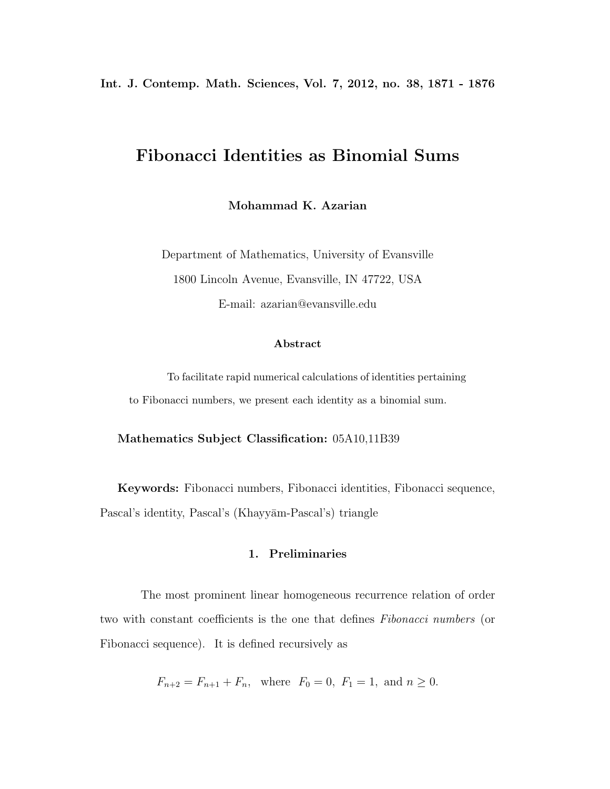**Int. J. Contemp. Math. Sciences, Vol. 7, 2012, no. 38, 1871 - 1876**

# **Fibonacci Identities as Binomial Sums**

**Mohammad K. Azarian**

Department of Mathematics, University of Evansville 1800 Lincoln Avenue, Evansville, IN 47722, USA E-mail: azarian@evansville.edu

#### **Abstract**

To facilitate rapid numerical calculations of identities pertaining to Fibonacci numbers, we present each identity as a binomial sum.

**Mathematics Subject Classification:** 05A10,11B39

**Keywords:** Fibonacci numbers, Fibonacci identities, Fibonacci sequence, Pascal's identity, Pascal's (Khayyām-Pascal's) triangle

# **1. Preliminaries**

The most prominent linear homogeneous recurrence relation of order two with constant coefficients is the one that defines *Fibonacci numbers* (or Fibonacci sequence). It is defined recursively as

$$
F_{n+2} = F_{n+1} + F_n
$$
, where  $F_0 = 0$ ,  $F_1 = 1$ , and  $n \ge 0$ .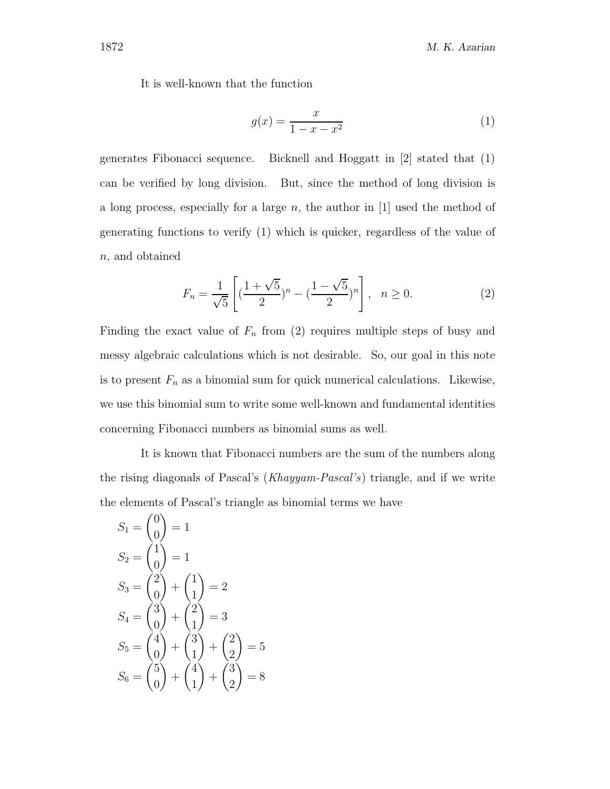It is well-known that the function

$$
g(x) = \frac{x}{1 - x - x^2} \tag{1}
$$

generates Fibonacci sequence. Bicknell and Hoggatt in [2] stated that (1) can be verified by long division. But, since the method of long division is a long process, especially for a large *n*, the author in [1] used the method of generating functions to verify (1) which is quicker, regardless of the value of *n,* and obtained

$$
F_n = \frac{1}{\sqrt{5}} \left[ \left( \frac{1 + \sqrt{5}}{2} \right)^n - \left( \frac{1 - \sqrt{5}}{2} \right)^n \right], \quad n \ge 0. \tag{2}
$$

Finding the exact value of  $F_n$  from (2) requires multiple steps of busy and messy algebraic calculations which is not desirable. So, our goal in this note is to present  $F_n$  as a binomial sum for quick numerical calculations. Likewise, we use this binomial sum to write some well-known and fundamental identities concerning Fibonacci numbers as binomial sums as well.

It is known that Fibonacci numbers are the sum of the numbers along the rising diagonals of Pascal's (*Khayyam-Pascal's*) triangle, and if we write the elements of Pascal's triangle as binomial terms we have

$$
S_1 = \begin{pmatrix} 0 \\ 0 \end{pmatrix} = 1
$$
  
\n
$$
S_2 = \begin{pmatrix} 1 \\ 0 \end{pmatrix} = 1
$$
  
\n
$$
S_3 = \begin{pmatrix} 2 \\ 0 \end{pmatrix} + \begin{pmatrix} 1 \\ 1 \end{pmatrix} = 2
$$
  
\n
$$
S_4 = \begin{pmatrix} 3 \\ 0 \end{pmatrix} + \begin{pmatrix} 2 \\ 1 \end{pmatrix} = 3
$$
  
\n
$$
S_5 = \begin{pmatrix} 4 \\ 0 \end{pmatrix} + \begin{pmatrix} 3 \\ 1 \end{pmatrix} + \begin{pmatrix} 2 \\ 2 \end{pmatrix} = 5
$$
  
\n
$$
S_6 = \begin{pmatrix} 5 \\ 0 \end{pmatrix} + \begin{pmatrix} 4 \\ 1 \end{pmatrix} + \begin{pmatrix} 3 \\ 2 \end{pmatrix} = 8
$$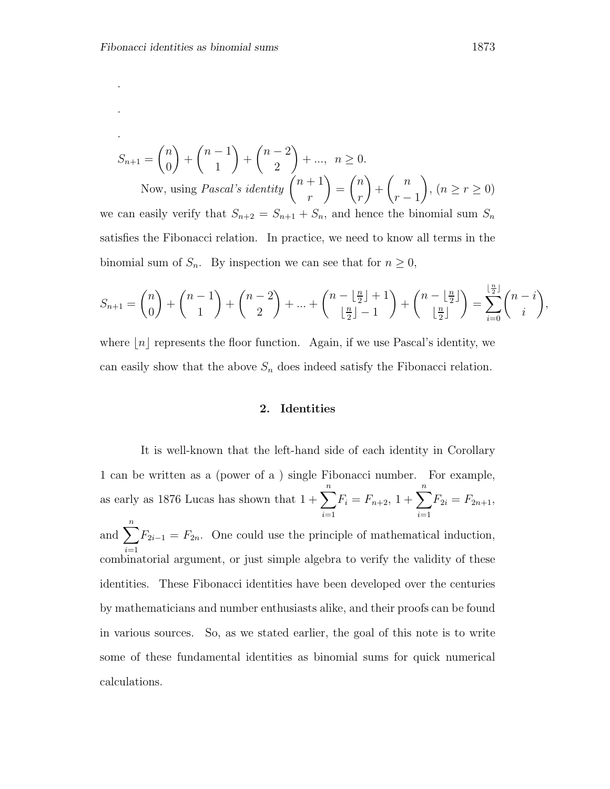.

.

$$
S_{n+1} = \binom{n}{0} + \binom{n-1}{1} + \binom{n-2}{2} + \dots, \ n \ge 0.
$$
  
Now, using *Pascal's identity*  $\binom{n+1}{n} = \binom{n}{n} + \binom{n}{n-1}, \ (n \ge r \ge 0).$ 

*r r* − 1<br>be hi ,  $(n \ge r \ge 0)$ we can easily verify that  $S_{n+2} = S_{n+1} + S_n$ , and hence the binomial sum  $S_n$ satisfies the Fibonacci relation. In practice, we need to know all terms in the binomial sum of  $S_n$ . By inspection we can see that for  $n \geq 0$ ,

$$
S_{n+1} = \binom{n}{0} + \binom{n-1}{1} + \binom{n-2}{2} + \ldots + \binom{n - \lfloor \frac{n}{2} \rfloor + 1}{\lfloor \frac{n}{2} \rfloor - 1} + \binom{n - \lfloor \frac{n}{2} \rfloor}{\lfloor \frac{n}{2} \rfloor} = \sum_{i=0}^{\lfloor \frac{n}{2} \rfloor} \binom{n-i}{i},
$$

where  $n \mid n$  represents the floor function. Again, if we use Pascal's identity, we can easily show that the above  $S_n$  does indeed satisfy the Fibonacci relation.

### **2. Identities**

It is well-known that the left-hand side of each identity in Corollary 1 can be written as a (power of a ) single Fibonacci number. For example, as early as 1876 Lucas has shown that  $1 + \sum_{n=1}^n$  $\sum_{i=1}^{n} F_i = F_{n+2}, 1 + \sum_{i=1}^{n} F_{2i} = F_{2n+1},$ and  $\sum_{n=1}^{\infty}$  $\sum_{i=1}^{n} F_{2i-1} = F_{2n}$ . One could use the principle of mathematical induction, combinatorial argument, or just simple algebra to verify the validity of these identities. These Fibonacci identities have been developed over the centuries by mathematicians and number enthusiasts alike, and their proofs can be found in various sources. So, as we stated earlier, the goal of this note is to write some of these fundamental identities as binomial sums for quick numerical calculations.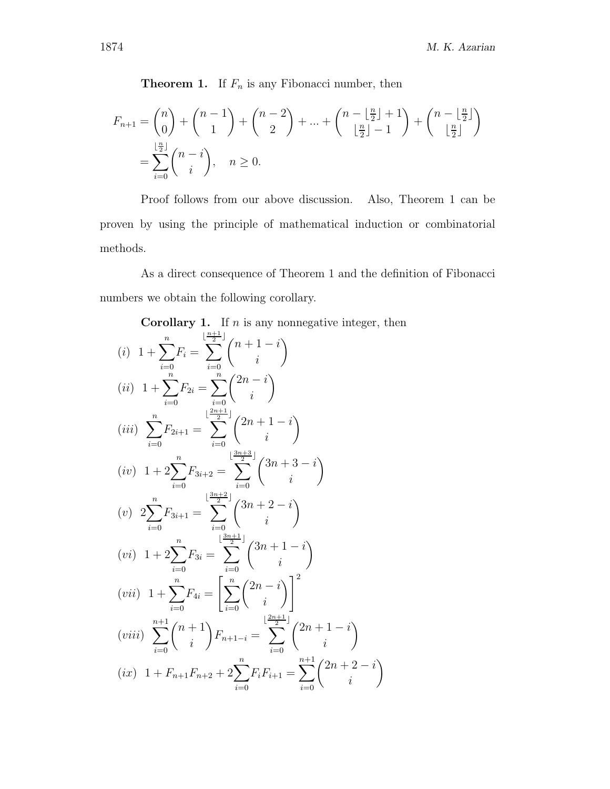**Theorem 1.** If  $F_n$  is any Fibonacci number, then

$$
F_{n+1} = \binom{n}{0} + \binom{n-1}{1} + \binom{n-2}{2} + \dots + \binom{n - \lfloor \frac{n}{2} \rfloor + 1}{\lfloor \frac{n}{2} \rfloor - 1} + \binom{n - \lfloor \frac{n}{2} \rfloor}{\lfloor \frac{n}{2} \rfloor}
$$
  
= 
$$
\sum_{i=0}^{\lfloor \frac{n}{2} \rfloor} \binom{n-i}{i}, \quad n \ge 0.
$$

Proof follows from our above discussion. Also, Theorem 1 can be proven by using the principle of mathematical induction or combinatorial methods.

As a direct consequence of Theorem 1 and the definition of Fibonacci numbers we obtain the following corollary.

Corollary 1. If *n* is any nonnegative integer, then  
\n(i) 
$$
1 + \sum_{i=0}^{n} F_i = \sum_{i=0}^{\lfloor \frac{n+1}{2} \rfloor} {n+1-i \choose i}
$$
  
\n(ii)  $1 + \sum_{i=0}^{n} F_{2i} = \sum_{i=0}^{n} {2n-i \choose i}$   
\n(iii)  $\sum_{i=0}^{n} F_{2i+1} = \sum_{i=0}^{\lfloor \frac{2n+1}{2} \rfloor} {2n+1-i \choose i}$   
\n(iv)  $1 + 2 \sum_{i=0}^{n} F_{3i+2} = \sum_{i=0}^{\lfloor \frac{3n+3}{2} \rfloor} {3n+3-i \choose i}$   
\n(v)  $2 \sum_{i=0}^{n} F_{3i+1} = \sum_{i=0}^{\lfloor \frac{3n+3}{2} \rfloor} {3n+2-i \choose i}$   
\n(vi)  $1 + 2 \sum_{i=0}^{n} F_{3i} = \sum_{i=0}^{\lfloor \frac{3n+1}{2} \rfloor} {3n+1-i \choose i}$   
\n(vii)  $1 + \sum_{i=0}^{n} F_{4i} = \left[ \sum_{i=0}^{n} {2n-i \choose i} \right]^2$   
\n(viii)  $\sum_{i=0}^{n+1} {n+1 \choose i} F_{n+1-i} = \sum_{i=0}^{\lfloor \frac{2n+1}{2} \rfloor} {2n+1-i \choose i}$   
\n(ix)  $1 + F_{n+1}F_{n+2} + 2 \sum_{i=0}^{n} F_i F_{i+1} = \sum_{i=0}^{n+1} {2n+2-i \choose i}$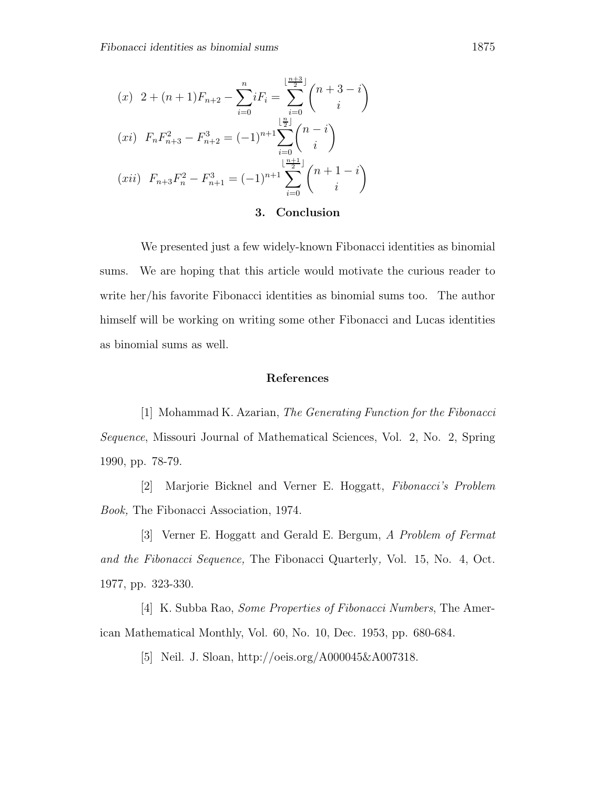$$
(x) \quad 2 + (n+1)F_{n+2} - \sum_{i=0}^{n} iF_i = \sum_{i=0}^{\lfloor \frac{n+3}{2} \rfloor} {n+3-i \choose i}
$$

$$
(xi) \quad F_n F_{n+3}^2 - F_{n+2}^3 = (-1)^{n+1} \sum_{i=0}^{\lfloor \frac{n}{2} \rfloor} {n-i \choose i}
$$

$$
(xii) \quad F_{n+3} F_n^2 - F_{n+1}^3 = (-1)^{n+1} \sum_{i=0}^{\lfloor \frac{n+1}{2} \rfloor} {n+1-i \choose i}
$$

## **3. Conclusion**

We presented just a few widely-known Fibonacci identities as binomial sums. We are hoping that this article would motivate the curious reader to write her/his favorite Fibonacci identities as binomial sums too. The author himself will be working on writing some other Fibonacci and Lucas identities as binomial sums as well.

#### **References**

[1] Mohammad K. Azarian, *The Generating Function for the Fibonacci Sequence*, Missouri Journal of Mathematical Sciences, Vol. 2, No. 2, Spring 1990, pp. 78-79.

[2] Marjorie Bicknel and Verner E. Hoggatt, *Fibonacci's Problem Book,* The Fibonacci Association, 1974.

[3] Verner E. Hoggatt and Gerald E. Bergum, *A Problem of Fermat and the Fibonacci Sequence,* The Fibonacci Quarterly*,* Vol. 15, No. 4, Oct. 1977, pp. 323-330.

[4] K. Subba Rao, *Some Properties of Fibonacci Numbers*, The American Mathematical Monthly, Vol. 60, No. 10, Dec. 1953, pp. 680-684.

[5] Neil. J. Sloan, http://oeis.org/A000045&A007318.